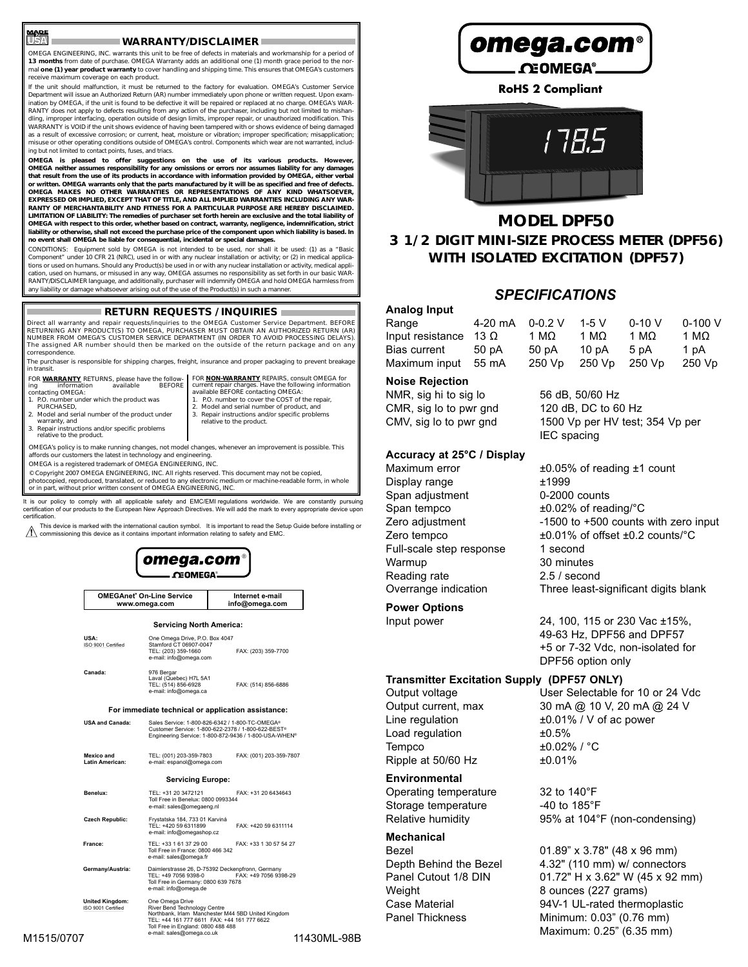#### **WARRANTY/DISCLAIMER**

OMEGA ENGINEERING, INC. warrants this unit to be free of defects in materials and workmanship for a period of **13 months** from date of purchase. OMEGA Warranty adds an additional one (1) month grace period to the normal **one (1) year product warranty** to cover handling and shipping time. This ensures that OMEGA's customers receive maximum coverage on each product.

If the unit should malfunction, it must be returned to the factory for evaluation. OMEGA's Customer Service Department will issue an Authorized Return (AR) number immediately upon phone or written request. Upon examination by OMEGA, if the unit is found to be defective it will be repaired or replaced at no charge. OMEGA's WAR-RANTY does not apply to defects resulting from any action of the purchaser, including but not limited to mishan<br>dling, improper interfacing, operation outside of design limits, improper repair, or unauthorized modification WARRANTY is VOID if the unit shows evidence of having been tampered with or shows evidence of being damaged<br>as a result of excessive corrosion; or current, heat, moisture or vibration; improper specification; misapplicatio ing but not limited to contact points, fuses, and triacs.

**OMEGA is pleased to offer suggestions on the use of its various products. However, OMEGA neither assumes responsibility for any omissions or errors nor assumes liability for any damages** that result from the use of its products in accordance with information provided by OMEGA, either verbal<br>or written. OMEGA warrants only that the parts manufactured by it will be as specified and free of defects.<br>OMEGA MA EXPRESSED OR IMPLIED, EXCEPT THAT OF TITLE, AND ALL IMPLIED WARRANTIES INCLUDING ANY WAR-**RANTY OF MERCHANTABILITY AND FITNESS FOR A PARTICULAR PURPOSE ARE HEREBY DISCLAIMED. LIMITATION OF LIABILITY: The remedies of purchaser set forth herein are exclusive and the total liability of OMEGA with respect to this order, whether based on contract, warranty, negligence, indemnification, strict liability or otherwise, shall not exceed the purchase price of the component upon which liability is based. In no event shall OMEGA be liable for consequential, incidental or special damages.**

CONDITIONS: Equipment sold by OMEGA is not intended to be used, nor shall it be used: (1) as a "Basic Component" under 10 CFR 21 (NRC), used in or with any nuclear installation or activity; or (2) in medical applications or used on humans. Should any Product(s) be used in or with any nuclear installation or activity, medical application, used on humans, or misused in any way, OMEGA assumes no responsibility as set forth in our basic WAR-RANTY/DISCLAIMER language, and additionally, purchaser will indemnify OMEGA and hold OMEGA harmless from any liability or damage whatsoever arising out of the use of the Product(s) in such a manner.

### **RETURN REQUESTS / INQUIRIES**

Direct all warranty and repair requests/inquiries to the OMEGA Customer Service Department. BEFORE RETURNING ANY PRODUCT(S) TO OMEGA, PURCHASER MUST OBTAIN AN AUTHORIZED RETURN (AR) NUMBER FROM OMEGA'S CUSTOMER SERVICE DEPARTMENT (IN ORDER TO AVOID PROCESSING DELAYS). The assigned AR number should then be marked on the outside of the return package and on any correspondence.

The purchaser is responsible for shipping charges, freight, insurance and proper packaging to prevent breakage in transit.

FOR **WARRANTY** RETURNS, please have the follow-<br>ing information available BEFORE FOR **NON-WARRANTY** REPAIRS, consult OMEGA for current repair charges. Have the following information available BEFORE contacting OMEGA: 1. P.O. number to cover the COST of the repair,

- ing information available BEFORE contacting OMEGA: 1. P.O. number under which the product was PURCHASED,
- 2. Model and serial number of the product under

**Norman** 

- warranty, and
- 2. Model and serial number of product, and 3. Repair instructions and/or specific problems relative to the product.
- 3. Repair instructions and/or specific problems relative to the product.

OMEGA's policy is to make running changes, not model changes, whenever an improvement is possible. This affords our customers the latest in technology and engineering.

OMEGA is a registered trademark of OMEGA ENGINEERING, INC.

© Copyright 2007 OMEGA ENGINEERING, INC. All rights reserved. This document may not be copied,<br>photocopied, reproduced, translated, or reduced to any electronic medium or machine-readable form, in whole<br>or in part, without

It is our policy to comply with all applicable safety and EMC/EMI regulations worldwide. We are constantly pursuing<br>certification of our products to the European New Approach Directives. We will add the mark to every appro certification.

This device is marked with the international caution symbol. It is important to read the Setup Guide before installing or commissioning this device as it contains important information relating to safety and EMC.





**United Kingdom:** One Omega Drive<br><u>ISO 9001 Certified</u> River Bend Technology Centre<br>ISO 9001 Certified Rocthbank, Irlam Manchester M44 5BD United Kingdom<br>TEL: +44 161 777 6611 FAQ: 161 FR1 161 161 161 1717 6622<br>Toll Free i



**RoHS 2 Compliant**



# **MODEL DPF50 3 1/2 DIGIT MINI-SIZE PROCESS METER (DPF56) WITH ISOLATED EXCITATION (DPF57)**

## *SPECIFICATIONS*

| Analog Input     |             |             |        |          |              |
|------------------|-------------|-------------|--------|----------|--------------|
| Range            | 4-20 mA     | $0 - 0.2$ V | $1-5V$ | $0-10$ V | $0-100V$     |
| Input resistance | 13 $\Omega$ | 1 MΩ        | 1 MO   | 1 MO     | 1 M $\Omega$ |
| Bias current     | 50 pA       | 50 pA       | 10 pA  | 5pA      | 1 pA         |
| Maximum input    | 55 mA       | 250 Vp      | 250 Vp | 250 Vp   | 250 Vp       |

#### **Noise Rejection**

NMR, sig hi to sig lo 56 dB, 50/60 Hz CMR, sig lo to pwr gnd 120 dB, DC to 60 Hz CMV, sig lo to pwr gnd 1500 Vp per HV test; 354 Vp per

#### **Accuracy at 25°C / Display**

Display range  $\pm 1999$ Span adjustment 0-2000 counts Span tempco  $\pm 0.02\%$  of reading/°C Full-scale step response 1 second Warmup 30 minutes Reading rate 2.5 / second

IEC spacing Maximum error **the EU.05%** of reading ±1 count Zero adjustment  $-1500$  to  $+500$  counts with zero input Zero tempco ±0.01% of offset ±0.2 counts/°C

Overrange indication Three least-significant digits blank

### **Power Options**

Input power 24, 100, 115 or 230 Vac ±15%,

49-63 Hz, DPF56 and DPF57 +5 or 7-32 Vdc, non-isolated for DPF56 option only

#### **Transmitter Excitation Supply (DPF57 ONLY)**

Load regulation Tempco  $\pm 0.02\%$  /  $\degree$ C Ripple at 50/60 Hz ±0.01%

#### **Environmental**

Operating temperature 32 to 140°F Storage temperature -40 to 185°F

#### **Mechanical**

Weight 8 ounces (227 grams)

Output voltage User Selectable for 10 or 24 Vdc Output current, max 30 mA @ 10 V, 20 mA @ 24 V Line regulation  $\pm 0.01\%$  / V of ac power<br>Load regulation  $\pm 0.5\%$ 

Relative humidity 95% at 104°F (non-condensing)

Bezel 01.89" x 3.78" (48 x 96 mm) Depth Behind the Bezel 4.32" (110 mm) w/ connectors Panel Cutout 1/8 DIN 01.72" H x 3.62" W (45 x 92 mm) Case Material 94V-1 UL-rated thermoplastic Panel Thickness Minimum: 0.03" (0.76 mm) Maximum: 0.25" (6.35 mm)